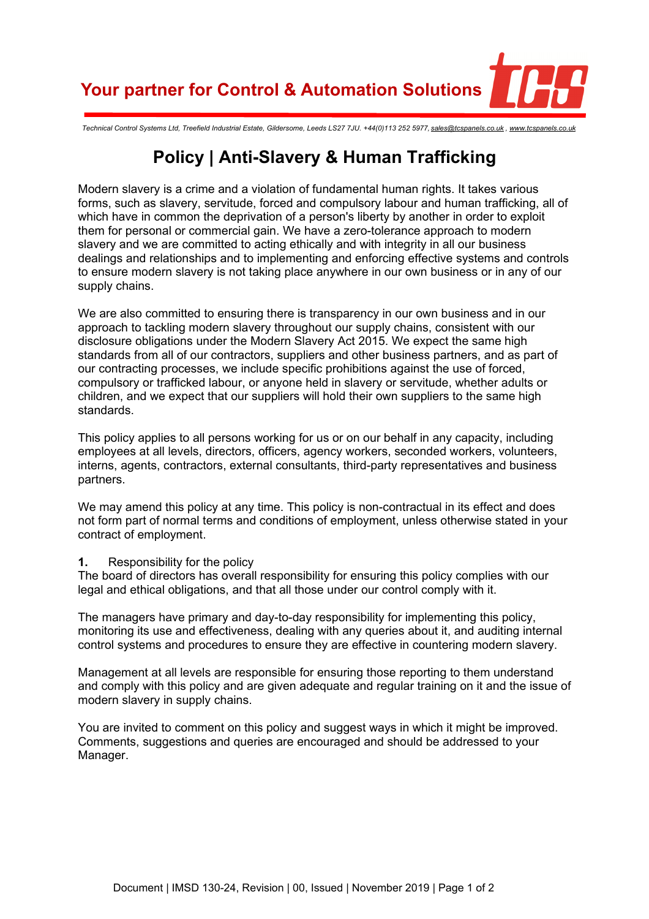**Your partner for Control & Automation Solutions**

*Technical Control Systems Ltd, Treefield Industrial Estate, Gildersome, Leeds LS27 7JU. +44(0)113 252 5977, [sales@tcspanels.co.uk](mailto:sales@tcspanels.co.uk) , [www.tcspanels.co.uk](http://www.tcspanels.co.uk)*

## **Policy | Anti-Slavery & Human Trafficking**

Modern slavery is a crime and a violation of fundamental human rights. It takes various forms, such as slavery, servitude, forced and compulsory labour and human trafficking, all of which have in common the deprivation of a person's liberty by another in order to exploit them for personal or commercial gain. We have a zero-tolerance approach to modern slavery and we are committed to acting ethically and with integrity in all our business dealings and relationships and to implementing and enforcing effective systems and controls to ensure modern slavery is not taking place anywhere in our own business or in any of our supply chains.

We are also committed to ensuring there is transparency in our own business and in our approach to tackling modern slavery throughout our supply chains, consistent with our disclosure obligations under the Modern Slavery Act 2015. We expect the same high standards from all of our contractors, suppliers and other business partners, and as part of our contracting processes, we include specific prohibitions against the use of forced, compulsory or trafficked labour, or anyone held in slavery or servitude, whether adults or children, and we expect that our suppliers will hold their own suppliers to the same high standards.

This policy applies to all persons working for us or on our behalf in any capacity, including employees at all levels, directors, officers, agency workers, seconded workers, volunteers, interns, agents, contractors, external consultants, third-party representatives and business partners.

We may amend this policy at any time. This policy is non-contractual in its effect and does not form part of normal terms and conditions of employment, unless otherwise stated in your contract of employment.

## **1.** Responsibility for the policy

The board of directors has overall responsibility for ensuring this policy complies with our legal and ethical obligations, and that all those under our control comply with it.

The managers have primary and day-to-day responsibility for implementing this policy, monitoring its use and effectiveness, dealing with any queries about it, and auditing internal control systems and procedures to ensure they are effective in countering modern slavery.

Management at all levels are responsible for ensuring those reporting to them understand and comply with this policy and are given adequate and regular training on it and the issue of modern slavery in supply chains.

You are invited to comment on this policy and suggest ways in which it might be improved. Comments, suggestions and queries are encouraged and should be addressed to your Manager.